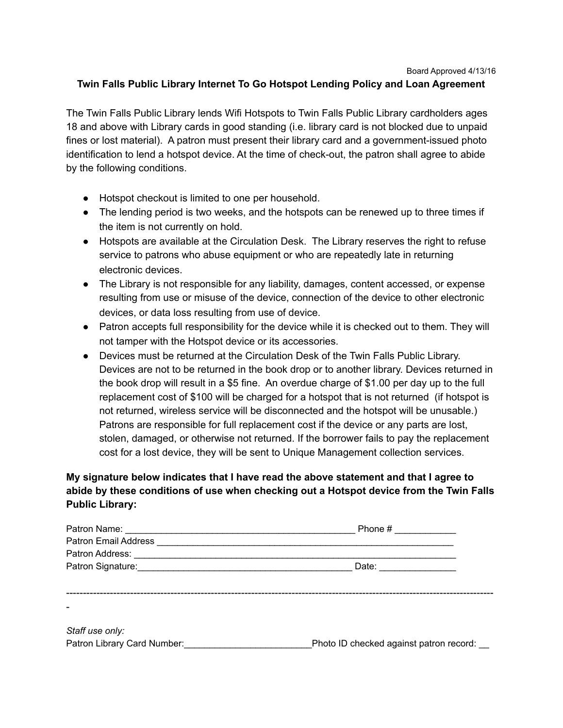## Board Approved 4/13/16

## **Twin Falls Public Library Internet To Go Hotspot Lending Policy and Loan Agreement**

The Twin Falls Public Library lends Wifi Hotspots to Twin Falls Public Library cardholders ages 18 and above with Library cards in good standing (i.e. library card is not blocked due to unpaid fines or lost material). A patron must present their library card and a government-issued photo identification to lend a hotspot device. At the time of check-out, the patron shall agree to abide by the following conditions.

- Hotspot checkout is limited to one per household.
- The lending period is two weeks, and the hotspots can be renewed up to three times if the item is not currently on hold.
- Hotspots are available at the Circulation Desk. The Library reserves the right to refuse service to patrons who abuse equipment or who are repeatedly late in returning electronic devices.
- The Library is not responsible for any liability, damages, content accessed, or expense resulting from use or misuse of the device, connection of the device to other electronic devices, or data loss resulting from use of device.
- Patron accepts full responsibility for the device while it is checked out to them. They will not tamper with the Hotspot device or its accessories.
- Devices must be returned at the Circulation Desk of the Twin Falls Public Library. Devices are not to be returned in the book drop or to another library. Devices returned in the book drop will result in a \$5 fine. An overdue charge of \$1.00 per day up to the full replacement cost of \$100 will be charged for a hotspot that is not returned (if hotspot is not returned, wireless service will be disconnected and the hotspot will be unusable.) Patrons are responsible for full replacement cost if the device or any parts are lost, stolen, damaged, or otherwise not returned. If the borrower fails to pay the replacement cost for a lost device, they will be sent to Unique Management collection services.

## **My signature below indicates that I have read the above statement and that I agree to abide by these conditions of use when checking out a Hotspot device from the Twin Falls Public Library:**

|                                                                                            | Phone $\#$                              |  |
|--------------------------------------------------------------------------------------------|-----------------------------------------|--|
|                                                                                            |                                         |  |
|                                                                                            |                                         |  |
| Patron Signature: <u>Contractor Contractor</u> Contractor Contractor Contractor Contractor | Date: ______________                    |  |
|                                                                                            |                                         |  |
|                                                                                            |                                         |  |
|                                                                                            |                                         |  |
|                                                                                            |                                         |  |
| Staff use only:                                                                            |                                         |  |
| Patron Library Card Number:                                                                | Photo ID checked against patron record: |  |